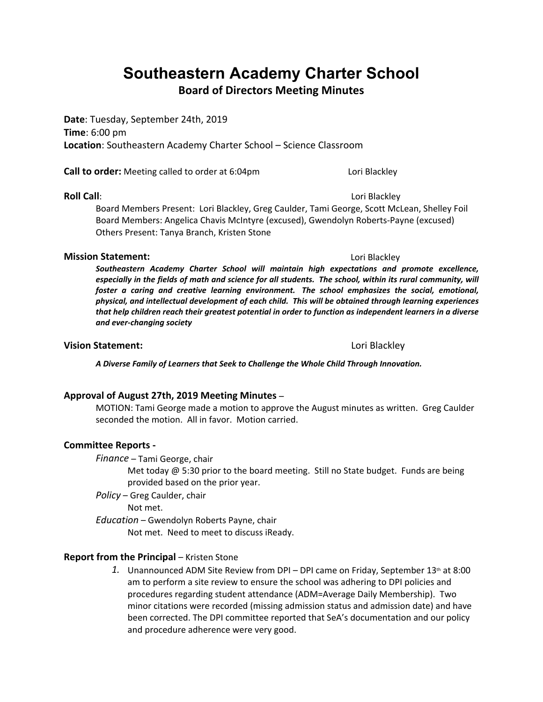# **Southeastern Academy Charter School**

**Board of Directors Meeting Minutes**

**Date**: Tuesday, September 24th, 2019 **Time**: 6:00 pm **Location**: Southeastern Academy Charter School – Science Classroom

**Call to order:** Meeting called to order at 6:04pm Lori Blackley

**Roll Call**: **Call**: **Call**: **Call**: **Call**: **Call**: **Call**: **Call**: **Call**: **Call**: **Call**: **Call**: **Call**: **Call**: **Call**: **Call**: **Call**: **Call**: **Call**: **Call**: **Call**: **Call**: **Call**: **Call**: **Call**: **Call**: **Call**: Board Members Present: Lori Blackley, Greg Caulder, Tami George, Scott McLean, Shelley Foil Board Members: Angelica Chavis McIntyre (excused), Gwendolyn Roberts-Payne (excused) Others Present: Tanya Branch, Kristen Stone

### **Mission Statement:**  $\qquad \qquad$  **Lori Blackley**

*Southeastern Academy Charter School will maintain high expectations and promote excellence, especially in the fields of math and science for all students. The school, within its rural community, will foster a caring and creative learning environment. The school emphasizes the social, emotional, physical, and intellectual development of each child. This will be obtained through learning experiences that help children reach their greatest potential in order to function as independent learners in a diverse and ever-changing society*

#### **Vision Statement:** Lori Blackley

*A Diverse Family of Learners that Seek to Challenge the Whole Child Through Innovation.*

**Approval of August 27th, 2019 Meeting Minutes** – MOTION: Tami George made a motion to approve the August minutes as written. Greg Caulder seconded the motion. All in favor. Motion carried.

### **Committee Reports -**

*Finance* – Tami George, chair

Met today  $@$  5:30 prior to the board meeting. Still no State budget. Funds are being provided based on the prior year.

*Policy* – Greg Caulder, chair

Not met.

*Education* – Gwendolyn Roberts Payne, chair

Not met. Need to meet to discuss iReady.

### **Report from the Principal** – Kristen Stone

1. Unannounced ADM Site Review from DPI – DPI came on Friday, September 13<sup>th</sup> at 8:00 am to perform a site review to ensure the school was adhering to DPI policies and procedures regarding student attendance (ADM=Average Daily Membership). Two minor citations were recorded (missing admission status and admission date) and have been corrected. The DPI committee reported that SeA's documentation and our policy and procedure adherence were very good.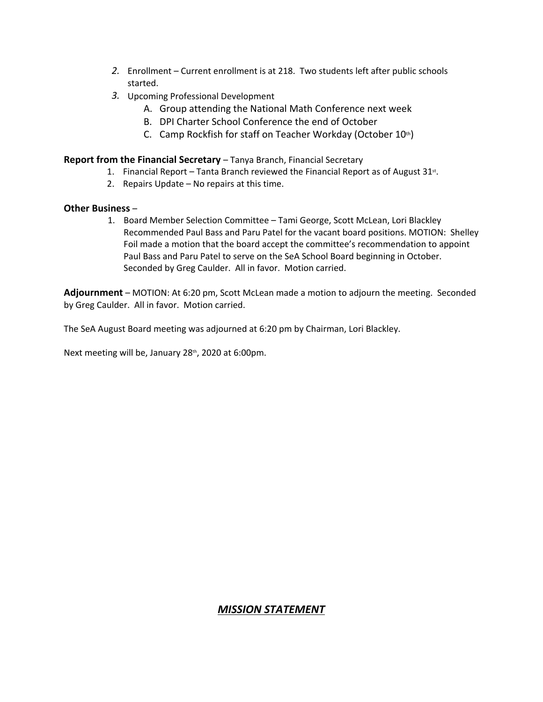- *2.* Enrollment Current enrollment is at 218. Two students left after public schools started.
- *3.* Upcoming Professional Development
	- A. Group attending the National Math Conference next week
	- B. DPI Charter School Conference the end of October
	- C. Camp Rockfish for staff on Teacher Workday (October  $10<sup>th</sup>$ )

#### **Report from the Financial Secretary** – Tanya Branch, Financial Secretary

- 1. Financial Report Tanta Branch reviewed the Financial Report as of August 31<sup>st</sup>.<br>2. Repairs Update No repairs at this time.
	-

**Other Business** –<br>1. Board Member Selection Committee – Tami George, Scott McLean, Lori Blackley Recommended Paul Bass and Paru Patel for the vacant board positions. MOTION: Shelley Foil made a motion that the board accept the committee's recommendation to appoint Paul Bass and Paru Patel to serve on the SeA School Board beginning in October. Seconded by Greg Caulder. All in favor. Motion carried.

**Adjournment** – MOTION: At 6:20 pm, Scott McLean made a motion to adjourn the meeting. Seconded by Greg Caulder. All in favor. Motion carried.

The SeA August Board meeting was adjourned at 6:20 pm by Chairman, Lori Blackley.

Next meeting will be, January 28<sup>th</sup>, 2020 at 6:00pm.

### *MISSION STATEMENT*